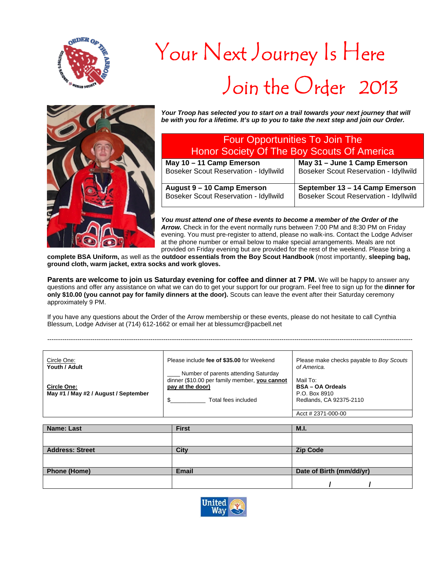

## Your Next Journey Is Here Join the Order 2013



*Your Troop has selected you to start on a trail towards your next journey that will be with you for a lifetime. It's up to you to take the next step and join our Order.*

| <b>Four Opportunities To Join The</b><br>Honor Society Of The Boy Scouts Of America |                                              |  |
|-------------------------------------------------------------------------------------|----------------------------------------------|--|
| May 10 - 11 Camp Emerson                                                            | May 31 - June 1 Camp Emerson                 |  |
|                                                                                     |                                              |  |
| <b>Boseker Scout Reservation - Idyllwild</b>                                        | <b>Boseker Scout Reservation - Idyllwild</b> |  |
| August 9 - 10 Camp Emerson                                                          | September 13 - 14 Camp Emerson               |  |
|                                                                                     |                                              |  |
| Boseker Scout Reservation - Idyllwild                                               | <b>Boseker Scout Reservation - Idyllwild</b> |  |

*You must attend one of these events to become a member of the Order of the Arrow.* Check in for the event normally runs between 7:00 PM and 8:30 PM on Friday evening. You must pre-register to attend, please no walk-ins. Contact the Lodge Adviser at the phone number or email below to make special arrangements. Meals are not provided on Friday evening but are provided for the rest of the weekend. Please bring a

**complete BSA Uniform,** as well as the **outdoor essentials from the Boy Scout Handbook** (most importantly, **sleeping bag, ground cloth, warm jacket, extra socks and work gloves.** 

**Parents are welcome to join us Saturday evening for coffee and dinner at 7 PM.** We will be happy to answer any questions and offer any assistance on what we can do to get your support for our program. Feel free to sign up for the **dinner for only \$10.00 (you cannot pay for family dinners at the door).** Scouts can leave the event after their Saturday ceremony approximately 9 PM.

--------------------------------------------------------------------------------------------------------------------------------------------------------------------------

If you have any questions about the Order of the Arrow membership or these events, please do not hesitate to call Cynthia Blessum, Lodge Adviser at (714) 612-1662 or email her at blessumcr@pacbell.net

Please make checks payable to *Boy Scouts of America.*  Mail To: **BSA – OA Ordeals**  P.O. Box 8910 Redlands, CA 92375-2110 Circle One: **Youth / Adult Circle One: May #1 / May #2 / August / September**  Please include **fee of \$35.00** for Weekend Number of parents attending Saturday dinner (\$10.00 per family member, **you cannot pay at the door)** \$\_\_\_\_\_\_\_\_\_\_\_ Total fees included Acct # 2371-000-00

| Name: Last             | <b>First</b> | M.I.                     |
|------------------------|--------------|--------------------------|
|                        |              |                          |
| <b>Address: Street</b> | City         | <b>Zip Code</b>          |
|                        |              |                          |
| <b>Phone (Home)</b>    | <b>Email</b> | Date of Birth (mm/dd/yr) |
|                        |              |                          |